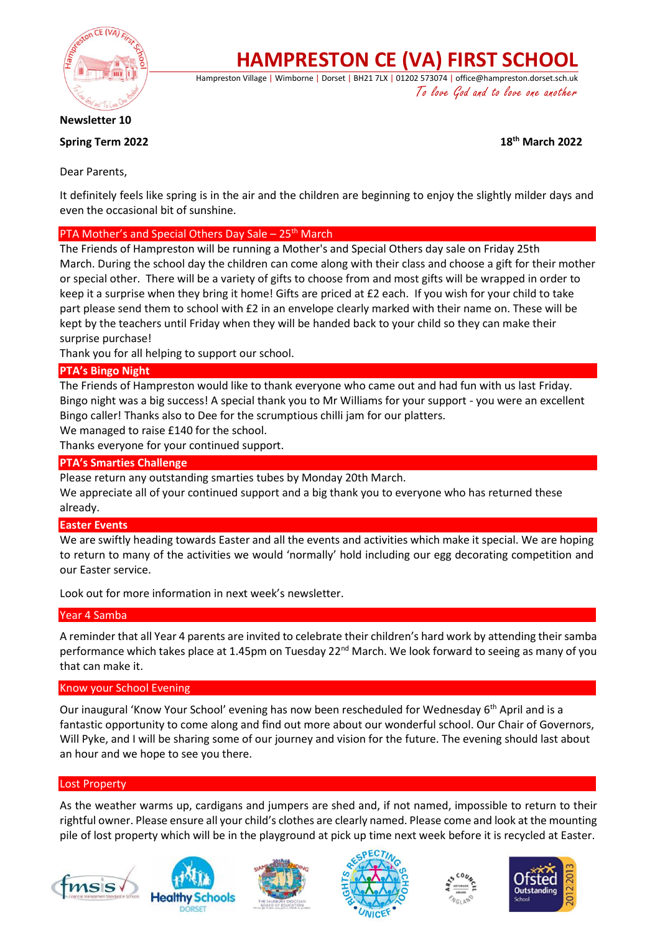

**HAMPRESTON CE (VA) FIRST SCHOOL**

Hampreston Village | Wimborne | Dorset | BH21 7LX | 01202 573074 | office@hampreston.dorset.sch.uk To love God and to love one another

**Newsletter 10**

**Spring Term 2022 18th March 2022**

Dear Parents,

It definitely feels like spring is in the air and the children are beginning to enjoy the slightly milder days and even the occasional bit of sunshine.

## PTA Mother's and Special Others Day Sale – 25<sup>th</sup> March

The Friends of Hampreston will be running a Mother's and Special Others day sale on Friday 25th March. During the school day the children can come along with their class and choose a gift for their mother or special other. There will be a variety of gifts to choose from and most gifts will be wrapped in order to keep it a surprise when they bring it home! Gifts are priced at £2 each. If you wish for your child to take part please send them to school with £2 in an envelope clearly marked with their name on. These will be kept by the teachers until Friday when they will be handed back to your child so they can make their surprise purchase!

Thank you for all helping to support our school.

### **PTA's Bingo Night**

The Friends of Hampreston would like to thank everyone who came out and had fun with us last Friday. Bingo night was a big success! A special thank you to Mr Williams for your support - you were an excellent Bingo caller! Thanks also to Dee for the scrumptious chilli jam for our platters.

We managed to raise £140 for the school.

Thanks everyone for your continued support.

#### **PTA's Smarties Challenge**

Please return any outstanding smarties tubes by Monday 20th March.

We appreciate all of your continued support and a big thank you to everyone who has returned these already.

#### **Easter Events**

We are swiftly heading towards Easter and all the events and activities which make it special. We are hoping to return to many of the activities we would 'normally' hold including our egg decorating competition and our Easter service.

Look out for more information in next week's newsletter.

#### Year 4 Samba

A reminder that all Year 4 parents are invited to celebrate their children's hard work by attending their samba performance which takes place at 1.45pm on Tuesday 22<sup>nd</sup> March. We look forward to seeing as many of you that can make it.

#### Know your School Evening

Our inaugural 'Know Your School' evening has now been rescheduled for Wednesday 6<sup>th</sup> April and is a fantastic opportunity to come along and find out more about our wonderful school. Our Chair of Governors, Will Pyke, and I will be sharing some of our journey and vision for the future. The evening should last about an hour and we hope to see you there.

#### Lost Property

As the weather warms up, cardigans and jumpers are shed and, if not named, impossible to return to their rightful owner. Please ensure all your child's clothes are clearly named. Please come and look at the mounting pile of lost property which will be in the playground at pick up time next week before it is recycled at Easter.











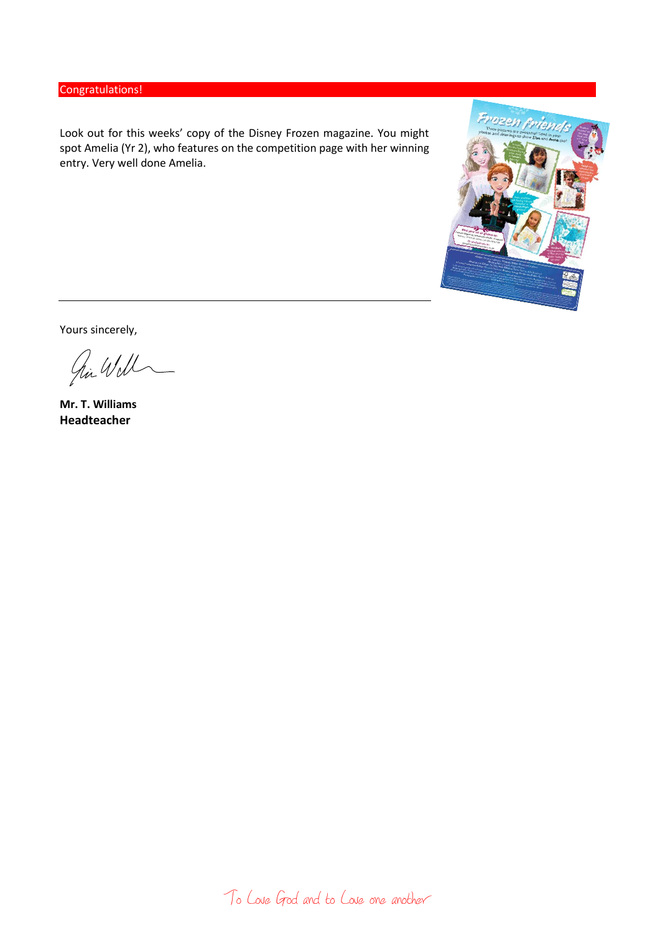# Congratulations!

Look out for this weeks' copy of the Disney Frozen magazine. You might spot Amelia (Yr 2), who features on the competition page with her winning entry. Very well done Amelia.



Yours sincerely,

Ji Will

**Mr. T. Williams Headteacher**

To Love God and to Love one another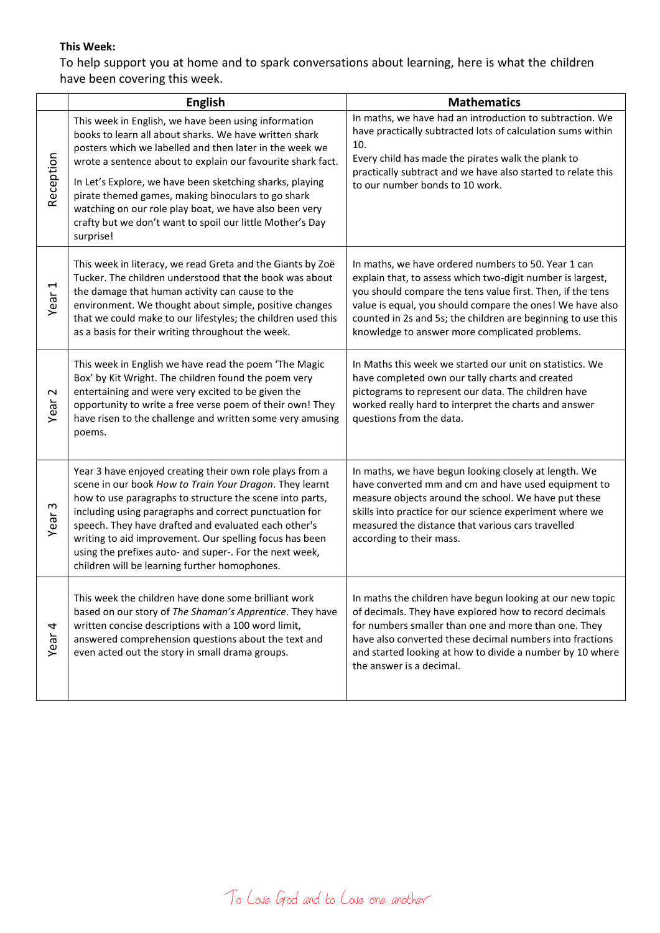# **This Week:**

To help support you at home and to spark conversations about learning, here is what the children have been covering this week.

|                   | <b>English</b>                                                                                                                                                                                                                                                                                                                                                                                                                                                                                 | <b>Mathematics</b>                                                                                                                                                                                                                                                                                                                                             |
|-------------------|------------------------------------------------------------------------------------------------------------------------------------------------------------------------------------------------------------------------------------------------------------------------------------------------------------------------------------------------------------------------------------------------------------------------------------------------------------------------------------------------|----------------------------------------------------------------------------------------------------------------------------------------------------------------------------------------------------------------------------------------------------------------------------------------------------------------------------------------------------------------|
| Reception         | This week in English, we have been using information<br>books to learn all about sharks. We have written shark<br>posters which we labelled and then later in the week we<br>wrote a sentence about to explain our favourite shark fact.<br>In Let's Explore, we have been sketching sharks, playing<br>pirate themed games, making binoculars to go shark<br>watching on our role play boat, we have also been very<br>crafty but we don't want to spoil our little Mother's Day<br>surprise! | In maths, we have had an introduction to subtraction. We<br>have practically subtracted lots of calculation sums within<br>10.<br>Every child has made the pirates walk the plank to<br>practically subtract and we have also started to relate this<br>to our number bonds to 10 work.                                                                        |
| Year 1            | This week in literacy, we read Greta and the Giants by Zoë<br>Tucker. The children understood that the book was about<br>the damage that human activity can cause to the<br>environment. We thought about simple, positive changes<br>that we could make to our lifestyles; the children used this<br>as a basis for their writing throughout the week.                                                                                                                                        | In maths, we have ordered numbers to 50. Year 1 can<br>explain that, to assess which two-digit number is largest,<br>you should compare the tens value first. Then, if the tens<br>value is equal, you should compare the ones! We have also<br>counted in 2s and 5s; the children are beginning to use this<br>knowledge to answer more complicated problems. |
| $\sim$<br>Year    | This week in English we have read the poem 'The Magic<br>Box' by Kit Wright. The children found the poem very<br>entertaining and were very excited to be given the<br>opportunity to write a free verse poem of their own! They<br>have risen to the challenge and written some very amusing<br>poems.                                                                                                                                                                                        | In Maths this week we started our unit on statistics. We<br>have completed own our tally charts and created<br>pictograms to represent our data. The children have<br>worked really hard to interpret the charts and answer<br>questions from the data.                                                                                                        |
| ო<br>Year:        | Year 3 have enjoyed creating their own role plays from a<br>scene in our book How to Train Your Dragon. They learnt<br>how to use paragraphs to structure the scene into parts,<br>including using paragraphs and correct punctuation for<br>speech. They have drafted and evaluated each other's<br>writing to aid improvement. Our spelling focus has been<br>using the prefixes auto- and super-. For the next week,<br>children will be learning further homophones.                       | In maths, we have begun looking closely at length. We<br>have converted mm and cm and have used equipment to<br>measure objects around the school. We have put these<br>skills into practice for our science experiment where we<br>measured the distance that various cars travelled<br>according to their mass.                                              |
| Year <sub>4</sub> | This week the children have done some brilliant work<br>based on our story of The Shaman's Apprentice. They have<br>written concise descriptions with a 100 word limit,<br>answered comprehension questions about the text and<br>even acted out the story in small drama groups.                                                                                                                                                                                                              | In maths the children have begun looking at our new topic<br>of decimals. They have explored how to record decimals<br>for numbers smaller than one and more than one. They<br>have also converted these decimal numbers into fractions<br>and started looking at how to divide a number by 10 where<br>the answer is a decimal.                               |

To Love God and to Love one another